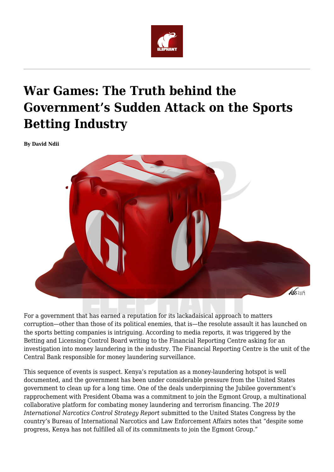

## **War Games: The Truth behind the Government's Sudden Attack on the Sports Betting Industry**

**By David Ndii**



For a government that has earned a reputation for its lackadaisical approach to matters corruption—other than those of its political enemies, that is—the resolute assault it has launched on the sports betting companies is intriguing. According to media reports, it was triggered by the Betting and Licensing Control Board writing to the Financial Reporting Centre asking for an investigation into money laundering in the industry. The Financial Reporting Centre is the unit of the Central Bank responsible for money laundering surveillance.

This sequence of events is suspect. Kenya's reputation as a money-laundering hotspot is well documented, and the government has been under considerable pressure from the United States government to clean up for a long time. One of the deals underpinning the Jubilee government's rapprochement with President Obama was a commitment to join the Egmont Group, a multinational collaborative platform for combating money laundering and terrorism financing. The *2019 International Narcotics Control Strategy Report* submitted to the United States Congress by the country's Bureau of International Narcotics and Law Enforcement Affairs notes that "despite some progress, Kenya has not fulfilled all of its commitments to join the Egmont Group."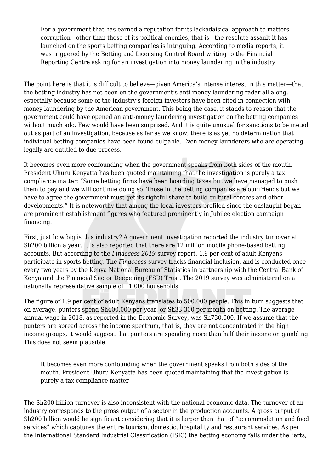For a government that has earned a reputation for its lackadaisical approach to matters corruption—other than those of its political enemies, that is—the resolute assault it has launched on the sports betting companies is intriguing. According to media reports, it was triggered by the Betting and Licensing Control Board writing to the Financial Reporting Centre asking for an investigation into money laundering in the industry.

The point here is that it is difficult to believe—given America's intense interest in this matter—that the betting industry has not been on the government's anti-money laundering radar all along, especially because some of the industry's foreign investors have been cited in connection with money laundering by the American government. This being the case, it stands to reason that the government could have opened an anti-money laundering investigation on the betting companies without much ado. Few would have been surprised. And it is quite unusual for sanctions to be meted out as part of an investigation, because as far as we know, there is as yet no determination that individual betting companies have been found culpable. Even money-launderers who are operating legally are entitled to due process.

It becomes even more confounding when the government speaks from both sides of the mouth. President Uhuru Kenyatta has been quoted maintaining that the investigation is purely a tax compliance matter: "Some betting firms have been hoarding taxes but we have managed to push them to pay and we will continue doing so. Those in the betting companies are our friends but we have to agree the government must get its rightful share to build cultural centres and other developments." It is noteworthy that among the local investors profiled since the onslaught began are prominent establishment figures who featured prominently in Jubilee election campaign financing.

First, just how big is this industry? A government investigation reported the industry turnover at Sh200 billion a year. It is also reported that there are 12 million mobile phone-based betting accounts. But according to the *Finaccess 2019* survey report, 1.9 per cent of adult Kenyans participate in sports betting. The *Finaccess* survey tracks financial inclusion, and is conducted once every two years by the Kenya National Bureau of Statistics in partnership with the Central Bank of Kenya and the Financial Sector Deepening (FSD) Trust. The 2019 survey was administered on a nationally representative sample of 11,000 households.

The figure of 1.9 per cent of adult Kenyans translates to 500,000 people. This in turn suggests that on average, punters spend Sh400,000 per year, or Sh33,300 per month on betting. The average annual wage in 2018, as reported in the Economic Survey, was Sh730,000. If we assume that the punters are spread across the income spectrum, that is, they are not concentrated in the high income groups, it would suggest that punters are spending more than half their income on gambling. This does not seem plausible.

It becomes even more confounding when the government speaks from both sides of the mouth. President Uhuru Kenyatta has been quoted maintaining that the investigation is purely a tax compliance matter

The Sh200 billion turnover is also inconsistent with the national economic data. The turnover of an industry corresponds to the gross output of a sector in the production accounts. A gross output of Sh200 billion would be significant considering that it is larger than that of "accommodation and food services" which captures the entire tourism, domestic, hospitality and restaurant services. As per the International Standard Industrial Classification (ISIC) the betting economy falls under the "arts,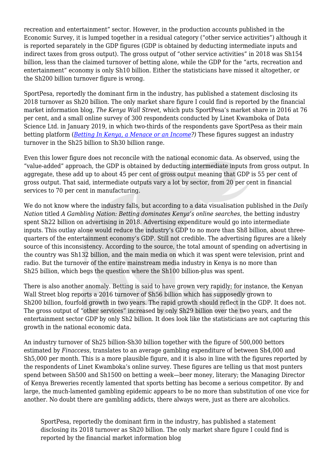recreation and entertainment" sector. However, in the production accounts published in the Economic Survey, it is lumped together in a residual category ("other service activities") although it is reported separately in the GDP figures (GDP is obtained by deducting intermediate inputs and indirect taxes from gross output). The gross output of "other service activities" in 2018 was Sh154 billion, less than the claimed turnover of betting alone, while the GDP for the "arts, recreation and entertainment" economy is only Sh10 billion. Either the statisticians have missed it altogether, or the Sh200 billion turnover figure is wrong.

SportPesa, reportedly the dominant firm in the industry, has published a statement disclosing its 2018 turnover as Sh20 billion. The only market share figure I could find is reported by the financial market information blog, *The Kenya Wall Street*, which puts SportPesa's market share in 2016 at 76 per cent, and a small online survey of 300 respondents conducted by Linet Kwamboka of Data Science Ltd. in January 2019, in which two-thirds of the respondents gave SportPesa as their main betting platform (*[Betting In Kenya, a Menace or an Income?](https://medium.com/@DataSciencing/betting-in-kenya-a-menace-or-an-income-4420a4eb110c))* These figures suggest an industry turnover in the Sh25 billion to Sh30 billion range.

Even this lower figure does not reconcile with the national economic data. As observed, using the "value-added" approach, the GDP is obtained by deducting intermediate inputs from gross output. In aggregate, these add up to about 45 per cent of gross output meaning that GDP is 55 per cent of gross output. That said, intermediate outputs vary a lot by sector, from 20 per cent in financial services to 70 per cent in manufacturing.

We do not know where the industry falls, but according to a data visualisation published in the *Daily Nation* titled *A Gambling Nation: Betting dominates Kenya's online searches*, the betting industry spent Sh22 billion on advertising in 2018. Advertising expenditure would go into intermediate inputs. This outlay alone would reduce the industry's GDP to no more than Sh8 billion, about threequarters of the entertainment economy's GDP. Still not credible. The advertising figures are a likely source of this inconsistency. According to the source, the total amount of spending on advertising in the country was Sh132 billion, and the main media on which it was spent were television, print and radio. But the turnover of the entire mainstream media industry in Kenya is no more than Sh25 billion, which begs the question where the Sh100 billion-plus was spent.

There is also another anomaly. Betting is said to have grown very rapidly; for instance, the Kenyan Wall Street blog reports a 2016 turnover of Sh56 billion which has supposedly grown to Sh200 billion, fourfold growth in two years. The rapid growth should reflect in the GDP. It does not. The gross output of "other services" increased by only Sh29 billion over the two years, and the entertainment sector GDP by only Sh2 billion. It does look like the statisticians are not capturing this growth in the national economic data.

An industry turnover of Sh25 billion-Sh30 billion together with the figure of 500,000 bettors estimated by *Finaccess,* translates to an average gambling expenditure of between Sh4,000 and Sh5,000 per month. This is a more plausible figure, and it is also in line with the figures reported by the respondents of Linet Kwamboka's online survey. These figures are telling us that most punters spend between Sh500 and Sh1500 on betting a week—beer money, literary; the Managing Director of Kenya Breweries recently lamented that sports betting has become a serious competitor. By and large, the much-lamented gambling epidemic appears to be no more than substitution of one vice for another. No doubt there are gambling addicts, there always were, just as there are alcoholics.

SportPesa, reportedly the dominant firm in the industry, has published a statement disclosing its 2018 turnover as Sh20 billion. The only market share figure I could find is reported by the financial market information blog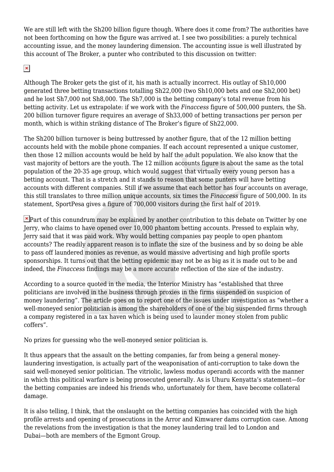We are still left with the Sh200 billion figure though. Where does it come from? The authorities have not been forthcoming on how the figure was arrived at. I see two possibilities: a purely technical accounting issue, and the money laundering dimension. The accounting issue is well illustrated by this account of The Broker, a punter who contributed to this discussion on twitter:

## $\pmb{\times}$

Although The Broker gets the gist of it, his math is actually incorrect. His outlay of Sh10,000 generated three betting transactions totalling Sh22,000 (two Sh10,000 bets and one Sh2,000 bet) and he lost Sh7,000 not Sh8,000. The Sh7,000 is the betting company's total revenue from his betting activity. Let us extrapolate: if we work with the *Finaccess* figure of 500,000 punters, the Sh. 200 billion turnover figure requires an average of Sh33,000 of betting transactions per person per month, which is within striking distance of The Broker's figure of Sh22,000.

The Sh200 billion turnover is being buttressed by another figure, that of the 12 million betting accounts held with the mobile phone companies. If each account represented a unique customer, then those 12 million accounts would be held by half the adult population. We also know that the vast majority of bettors are the youth. The 12 million accounts figure is about the same as the total population of the 20-35 age group, which would suggest that virtually every young person has a betting account. That is a stretch and it stands to reason that some punters will have betting accounts with different companies. Still if we assume that each bettor has four accounts on average, this still translates to three million unique accounts, six times the *Finaccess* figure of 500,000. In its statement, SportPesa gives a figure of 700,000 visitors during the first half of 2019.

 $\blacktriangleright$ Part of this conundrum may be explained by another contribution to this debate on Twitter by one Jerry, who claims to have opened over 10,000 phantom betting accounts. Pressed to explain why, Jerry said that it was paid work. Why would betting companies pay people to open phantom accounts? The readily apparent reason is to inflate the size of the business and by so doing be able to pass off laundered monies as revenue, as would massive advertising and high profile sports sponsorships. It turns out that the betting epidemic may not be as big as it is made out to be and indeed, the *Finaccess* findings may be a more accurate reflection of the size of the industry.

According to a source quoted in the media, the Interior Ministry has "established that three politicians are involved in the business through proxies in the firms suspended on suspicion of money laundering". The article goes on to report one of the issues under investigation as "whether a well-moneyed senior politician is among the shareholders of one of the big suspended firms through a company registered in a tax haven which is being used to launder money stolen from public coffers".

No prizes for guessing who the well-moneyed senior politician is.

It thus appears that the assault on the betting companies, far from being a general moneylaundering investigation, is actually part of the weaponisation of anti-corruption to take down the said well-moneyed senior politician. The vitriolic, lawless modus operandi accords with the manner in which this political warfare is being prosecuted generally. As is Uhuru Kenyatta's statement—for the betting companies are indeed his friends who, unfortunately for them, have become collateral damage.

It is also telling, I think, that the onslaught on the betting companies has coincided with the high profile arrests and opening of prosecutions in the Arror and Kimwarer dams corruption case. Among the revelations from the investigation is that the money laundering trail led to London and Dubai—both are members of the Egmont Group.